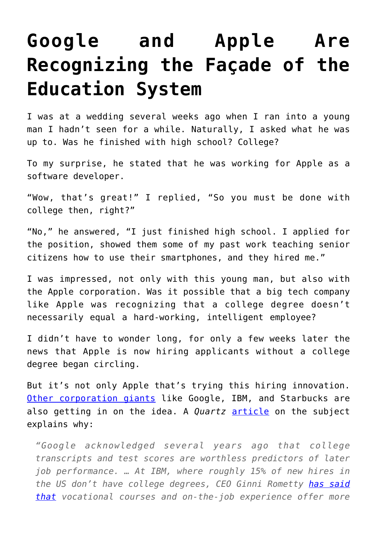## **[Google and Apple Are](https://intellectualtakeout.org/2018/08/google-and-apple-are-recognizing-the-facade-of-the-education-system/) [Recognizing the Façade of the](https://intellectualtakeout.org/2018/08/google-and-apple-are-recognizing-the-facade-of-the-education-system/) [Education System](https://intellectualtakeout.org/2018/08/google-and-apple-are-recognizing-the-facade-of-the-education-system/)**

I was at a wedding several weeks ago when I ran into a young man I hadn't seen for a while. Naturally, I asked what he was up to. Was he finished with high school? College?

To my surprise, he stated that he was working for Apple as a software developer.

"Wow, that's great!" I replied, "So you must be done with college then, right?"

"No," he answered, "I just finished high school. I applied for the position, showed them some of my past work teaching senior citizens how to use their smartphones, and they hired me."

I was impressed, not only with this young man, but also with the Apple corporation. Was it possible that a big tech company like Apple was recognizing that a college degree doesn't necessarily equal a hard-working, intelligent employee?

I didn't have to wonder long, for only a few weeks later the news that Apple is now hiring applicants without a college degree began circling.

But it's not only Apple that's trying this hiring innovation. [Other corporation giants](https://www.cnbc.com/2018/08/16/15-companies-that-no-longer-require-employees-to-have-a-college-degree.html?__source=facebook%7Cmain) like Google, IBM, and Starbucks are also getting in on the idea. A *Quartz* [article](https://qz.com/work/1367191/apple-ibm-and-google-dont-require-a-college-degree/) on the subject explains why:

*"Google acknowledged several years ago that college transcripts and test scores are worthless predictors of later job performance. … At IBM, where roughly 15% of new hires in the US don't have college degrees, CEO Ginni Rometty [has said](https://www.usatoday.com/story/tech/columnist/2016/12/13/we-need-fill-new-collar-jobs-employers-demand-ibms-rometty/95382248/) [that](https://www.usatoday.com/story/tech/columnist/2016/12/13/we-need-fill-new-collar-jobs-employers-demand-ibms-rometty/95382248/) vocational courses and on-the-job experience offer more*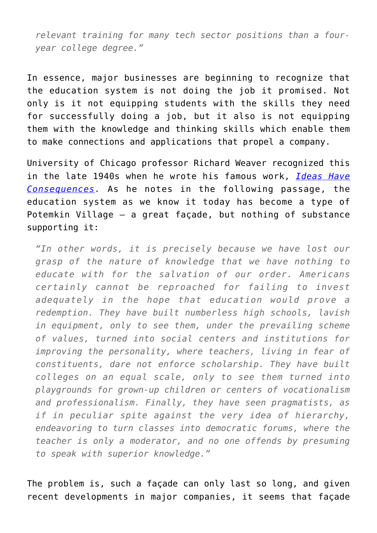*relevant training for many tech sector positions than a fouryear college degree."*

In essence, major businesses are beginning to recognize that the education system is not doing the job it promised. Not only is it not equipping students with the skills they need for successfully doing a job, but it also is not equipping them with the knowledge and thinking skills which enable them to make connections and applications that propel a company.

University of Chicago professor Richard Weaver recognized this in the late 1940s when he wrote his famous work, *[Ideas Have](https://www.amazon.com/gp/product/022609006X/ref=as_li_qf_asin_il_tl?ie=UTF8&tag=intelltakeo0d-20&creative=9325&linkCode=as2&creativeASIN=022609006X&linkId=92854317e7e433ff5b21e8b5566c5e60) [Consequences.](https://www.amazon.com/gp/product/022609006X/ref=as_li_qf_asin_il_tl?ie=UTF8&tag=intelltakeo0d-20&creative=9325&linkCode=as2&creativeASIN=022609006X&linkId=92854317e7e433ff5b21e8b5566c5e60)* As he notes in the following passage, the education system as we know it today has become a type of Potemkin Village – a great façade, but nothing of substance supporting it:

*"In other words, it is precisely because we have lost our grasp of the nature of knowledge that we have nothing to educate with for the salvation of our order. Americans certainly cannot be reproached for failing to invest adequately in the hope that education would prove a redemption. They have built numberless high schools, lavish in equipment, only to see them, under the prevailing scheme of values, turned into social centers and institutions for improving the personality, where teachers, living in fear of constituents, dare not enforce scholarship. They have built colleges on an equal scale, only to see them turned into playgrounds for grown-up children or centers of vocationalism and professionalism. Finally, they have seen pragmatists, as if in peculiar spite against the very idea of hierarchy, endeavoring to turn classes into democratic forums, where the teacher is only a moderator, and no one offends by presuming to speak with superior knowledge."*

The problem is, such a façade can only last so long, and given recent developments in major companies, it seems that façade